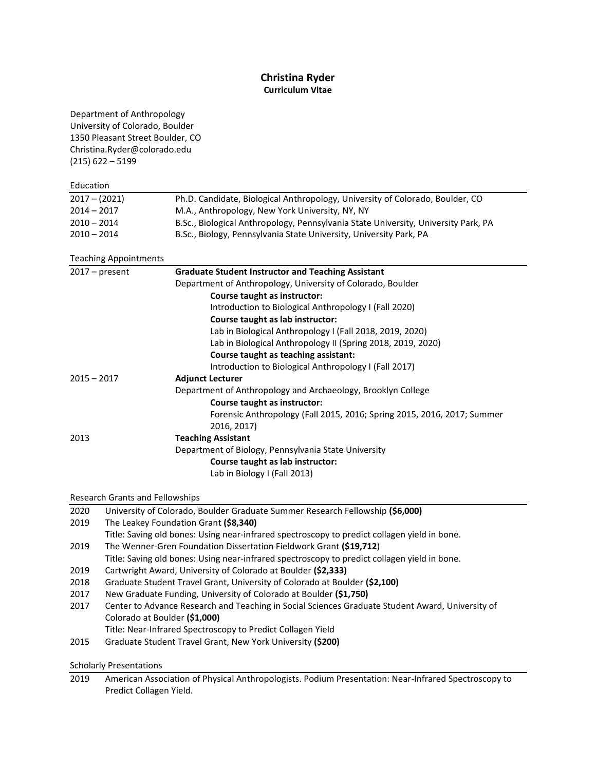# **Christina Ryder Curriculum Vitae**

| Department of Anthropology                                                                          |                                                                                                  |  |  |           |                    |
|-----------------------------------------------------------------------------------------------------|--------------------------------------------------------------------------------------------------|--|--|-----------|--------------------|
| University of Colorado, Boulder<br>1350 Pleasant Street Boulder, CO<br>Christina.Ryder@colorado.edu |                                                                                                  |  |  |           |                    |
|                                                                                                     |                                                                                                  |  |  |           | $(215)$ 622 - 5199 |
|                                                                                                     |                                                                                                  |  |  | Education |                    |
| $2017 - (2021)$                                                                                     | Ph.D. Candidate, Biological Anthropology, University of Colorado, Boulder, CO                    |  |  |           |                    |
| $2014 - 2017$                                                                                       | M.A., Anthropology, New York University, NY, NY                                                  |  |  |           |                    |
| $2010 - 2014$                                                                                       | B.Sc., Biological Anthropology, Pennsylvania State University, University Park, PA               |  |  |           |                    |
| $2010 - 2014$                                                                                       | B.Sc., Biology, Pennsylvania State University, University Park, PA                               |  |  |           |                    |
|                                                                                                     | <b>Teaching Appointments</b>                                                                     |  |  |           |                    |
| $2017 - present$                                                                                    | <b>Graduate Student Instructor and Teaching Assistant</b>                                        |  |  |           |                    |
|                                                                                                     | Department of Anthropology, University of Colorado, Boulder                                      |  |  |           |                    |
|                                                                                                     | Course taught as instructor:                                                                     |  |  |           |                    |
|                                                                                                     | Introduction to Biological Anthropology I (Fall 2020)                                            |  |  |           |                    |
|                                                                                                     | Course taught as lab instructor:                                                                 |  |  |           |                    |
|                                                                                                     | Lab in Biological Anthropology I (Fall 2018, 2019, 2020)                                         |  |  |           |                    |
|                                                                                                     | Lab in Biological Anthropology II (Spring 2018, 2019, 2020)                                      |  |  |           |                    |
|                                                                                                     | Course taught as teaching assistant:                                                             |  |  |           |                    |
|                                                                                                     | Introduction to Biological Anthropology I (Fall 2017)                                            |  |  |           |                    |
| $2015 - 2017$                                                                                       | <b>Adjunct Lecturer</b>                                                                          |  |  |           |                    |
|                                                                                                     | Department of Anthropology and Archaeology, Brooklyn College                                     |  |  |           |                    |
|                                                                                                     | Course taught as instructor:                                                                     |  |  |           |                    |
|                                                                                                     | Forensic Anthropology (Fall 2015, 2016; Spring 2015, 2016, 2017; Summer                          |  |  |           |                    |
|                                                                                                     | 2016, 2017)                                                                                      |  |  |           |                    |
| 2013                                                                                                | <b>Teaching Assistant</b>                                                                        |  |  |           |                    |
|                                                                                                     | Department of Biology, Pennsylvania State University                                             |  |  |           |                    |
|                                                                                                     | Course taught as lab instructor:                                                                 |  |  |           |                    |
|                                                                                                     | Lab in Biology I (Fall 2013)                                                                     |  |  |           |                    |
|                                                                                                     | Research Grants and Fellowships                                                                  |  |  |           |                    |
| 2020                                                                                                | University of Colorado, Boulder Graduate Summer Research Fellowship (\$6,000)                    |  |  |           |                    |
| 2019                                                                                                | The Leakey Foundation Grant (\$8,340)                                                            |  |  |           |                    |
|                                                                                                     | Title: Saving old bones: Using near-infrared spectroscopy to predict collagen yield in bone.     |  |  |           |                    |
| 2019                                                                                                | The Wenner-Gren Foundation Dissertation Fieldwork Grant (\$19,712)                               |  |  |           |                    |
|                                                                                                     | Title: Saving old bones: Using near-infrared spectroscopy to predict collagen yield in bone.     |  |  |           |                    |
| 2019                                                                                                | Cartwright Award, University of Colorado at Boulder (\$2,333)                                    |  |  |           |                    |
| 2018                                                                                                | Graduate Student Travel Grant, University of Colorado at Boulder (\$2,100)                       |  |  |           |                    |
| 2017                                                                                                | New Graduate Funding, University of Colorado at Boulder (\$1,750)                                |  |  |           |                    |
| 2017                                                                                                | Center to Advance Research and Teaching in Social Sciences Graduate Student Award, University of |  |  |           |                    |
|                                                                                                     | Colorado at Boulder (\$1,000)                                                                    |  |  |           |                    |
|                                                                                                     | Title: Near-Infrared Spectroscopy to Predict Collagen Yield                                      |  |  |           |                    |
| 2015                                                                                                | Graduate Student Travel Grant, New York University (\$200)                                       |  |  |           |                    |
|                                                                                                     | <b>Scholarly Presentations</b>                                                                   |  |  |           |                    |

2019 American Association of Physical Anthropologists. Podium Presentation: Near-Infrared Spectroscopy to Predict Collagen Yield.